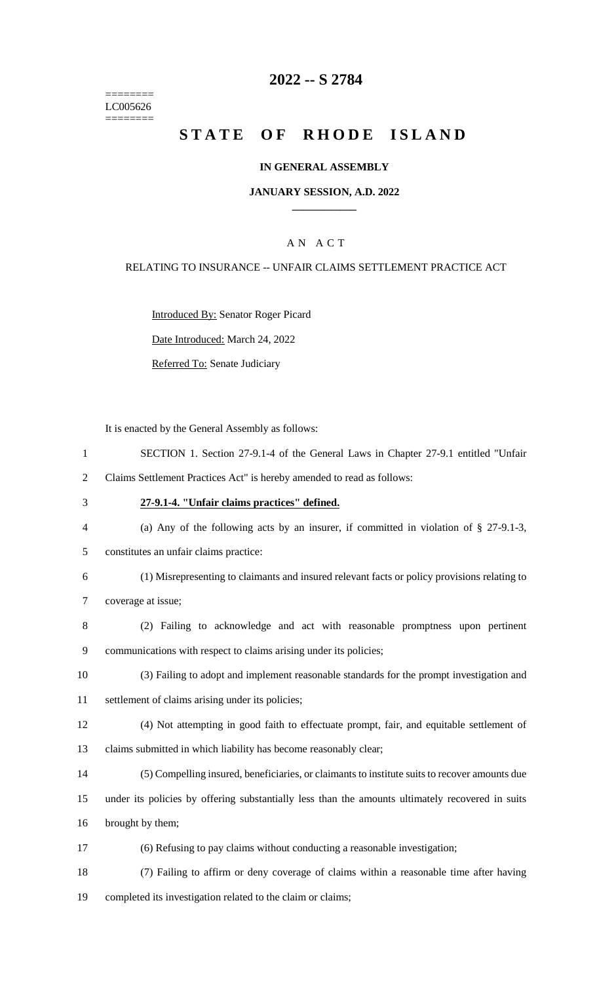======== LC005626 ========

# **-- S 2784**

# **STATE OF RHODE ISLAND**

### **IN GENERAL ASSEMBLY**

### **JANUARY SESSION, A.D. 2022 \_\_\_\_\_\_\_\_\_\_\_\_**

## A N A C T

### RELATING TO INSURANCE -- UNFAIR CLAIMS SETTLEMENT PRACTICE ACT

Introduced By: Senator Roger Picard

Date Introduced: March 24, 2022

Referred To: Senate Judiciary

It is enacted by the General Assembly as follows:

|   | SECTION 1. Section 27-9.1-4 of the General Laws in Chapter 27-9.1 entitled "Unfair |
|---|------------------------------------------------------------------------------------|
| 2 | Claims Settlement Practices Act" is hereby amended to read as follows:             |

- **27-9.1-4. "Unfair claims practices" defined.**
- (a) Any of the following acts by an insurer, if committed in violation of § 27-9.1-3,
- constitutes an unfair claims practice:
- (1) Misrepresenting to claimants and insured relevant facts or policy provisions relating to coverage at issue;
- (2) Failing to acknowledge and act with reasonable promptness upon pertinent communications with respect to claims arising under its policies;
- (3) Failing to adopt and implement reasonable standards for the prompt investigation and
- settlement of claims arising under its policies;
- (4) Not attempting in good faith to effectuate prompt, fair, and equitable settlement of claims submitted in which liability has become reasonably clear;
- (5) Compelling insured, beneficiaries, or claimants to institute suits to recover amounts due
- under its policies by offering substantially less than the amounts ultimately recovered in suits
- brought by them;
- (6) Refusing to pay claims without conducting a reasonable investigation;
- (7) Failing to affirm or deny coverage of claims within a reasonable time after having completed its investigation related to the claim or claims;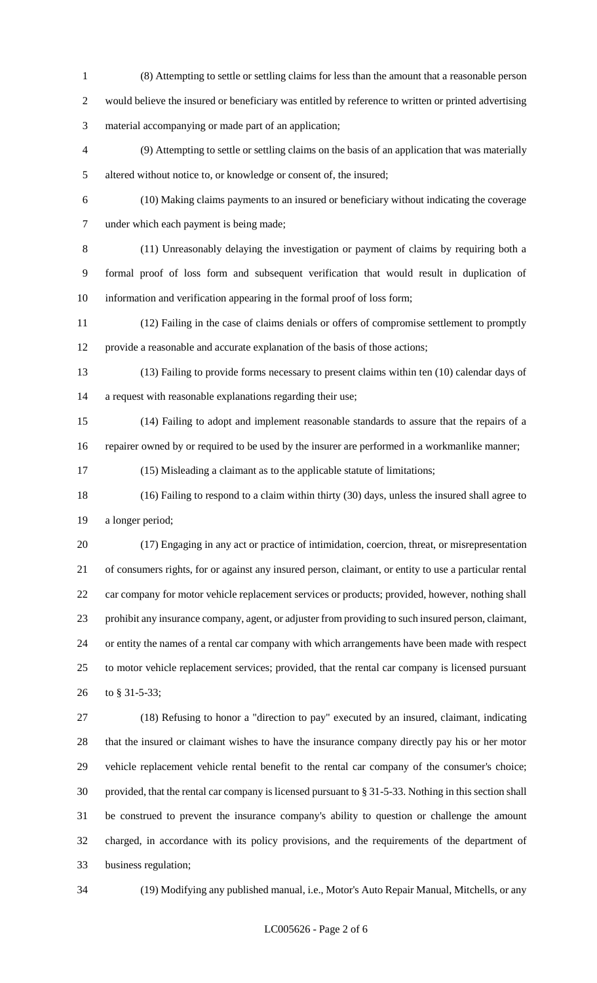- (8) Attempting to settle or settling claims for less than the amount that a reasonable person would believe the insured or beneficiary was entitled by reference to written or printed advertising material accompanying or made part of an application;
- (9) Attempting to settle or settling claims on the basis of an application that was materially altered without notice to, or knowledge or consent of, the insured;
- 

 (10) Making claims payments to an insured or beneficiary without indicating the coverage under which each payment is being made;

 (11) Unreasonably delaying the investigation or payment of claims by requiring both a formal proof of loss form and subsequent verification that would result in duplication of information and verification appearing in the formal proof of loss form;

 (12) Failing in the case of claims denials or offers of compromise settlement to promptly provide a reasonable and accurate explanation of the basis of those actions;

 (13) Failing to provide forms necessary to present claims within ten (10) calendar days of a request with reasonable explanations regarding their use;

 (14) Failing to adopt and implement reasonable standards to assure that the repairs of a repairer owned by or required to be used by the insurer are performed in a workmanlike manner;

(15) Misleading a claimant as to the applicable statute of limitations;

 (16) Failing to respond to a claim within thirty (30) days, unless the insured shall agree to a longer period;

 (17) Engaging in any act or practice of intimidation, coercion, threat, or misrepresentation of consumers rights, for or against any insured person, claimant, or entity to use a particular rental car company for motor vehicle replacement services or products; provided, however, nothing shall prohibit any insurance company, agent, or adjuster from providing to such insured person, claimant, or entity the names of a rental car company with which arrangements have been made with respect to motor vehicle replacement services; provided, that the rental car company is licensed pursuant to § 31-5-33;

 (18) Refusing to honor a "direction to pay" executed by an insured, claimant, indicating that the insured or claimant wishes to have the insurance company directly pay his or her motor vehicle replacement vehicle rental benefit to the rental car company of the consumer's choice; provided, that the rental car company is licensed pursuant to § 31-5-33. Nothing in this section shall be construed to prevent the insurance company's ability to question or challenge the amount charged, in accordance with its policy provisions, and the requirements of the department of business regulation;

(19) Modifying any published manual, i.e., Motor's Auto Repair Manual, Mitchells, or any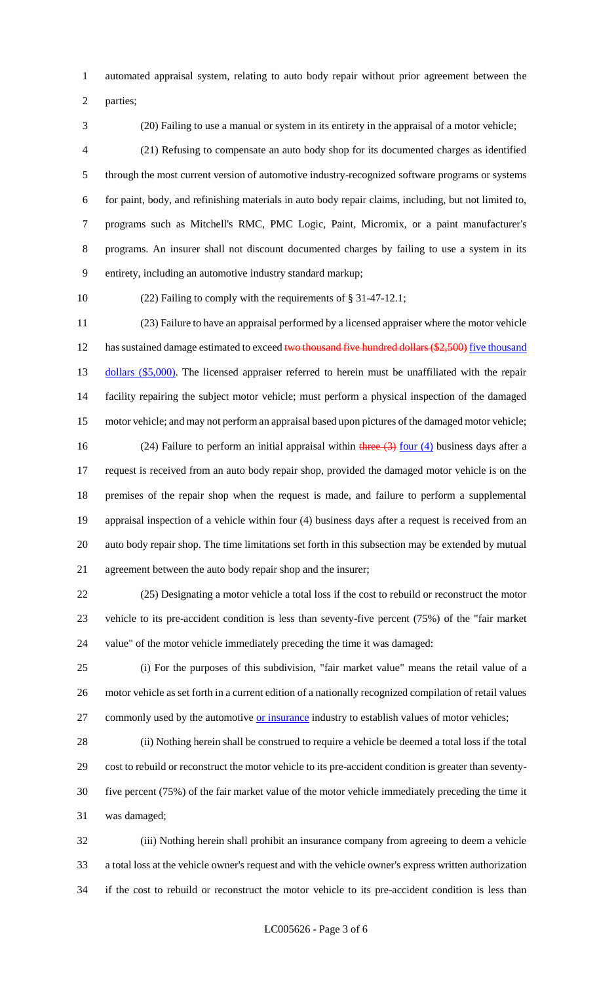automated appraisal system, relating to auto body repair without prior agreement between the

parties;

(20) Failing to use a manual or system in its entirety in the appraisal of a motor vehicle;

 (21) Refusing to compensate an auto body shop for its documented charges as identified through the most current version of automotive industry-recognized software programs or systems for paint, body, and refinishing materials in auto body repair claims, including, but not limited to, programs such as Mitchell's RMC, PMC Logic, Paint, Micromix, or a paint manufacturer's programs. An insurer shall not discount documented charges by failing to use a system in its entirety, including an automotive industry standard markup;

(22) Failing to comply with the requirements of § 31-47-12.1;

 (23) Failure to have an appraisal performed by a licensed appraiser where the motor vehicle 12 has sustained damage estimated to exceed two thousand five hundred dollars (\$2,500) five thousand 13 dollars (\$5,000). The licensed appraiser referred to herein must be unaffiliated with the repair facility repairing the subject motor vehicle; must perform a physical inspection of the damaged motor vehicle; and may not perform an appraisal based upon pictures of the damaged motor vehicle; 16 (24) Failure to perform an initial appraisal within three  $\left(3\right)$  four  $\left(4\right)$  business days after a request is received from an auto body repair shop, provided the damaged motor vehicle is on the premises of the repair shop when the request is made, and failure to perform a supplemental appraisal inspection of a vehicle within four (4) business days after a request is received from an auto body repair shop. The time limitations set forth in this subsection may be extended by mutual

agreement between the auto body repair shop and the insurer;

 (25) Designating a motor vehicle a total loss if the cost to rebuild or reconstruct the motor vehicle to its pre-accident condition is less than seventy-five percent (75%) of the "fair market value" of the motor vehicle immediately preceding the time it was damaged:

 (i) For the purposes of this subdivision, "fair market value" means the retail value of a motor vehicle as set forth in a current edition of a nationally recognized compilation of retail values 27 commonly used by the automotive or insurance industry to establish values of motor vehicles;

 (ii) Nothing herein shall be construed to require a vehicle be deemed a total loss if the total cost to rebuild or reconstruct the motor vehicle to its pre-accident condition is greater than seventy- five percent (75%) of the fair market value of the motor vehicle immediately preceding the time it was damaged;

 (iii) Nothing herein shall prohibit an insurance company from agreeing to deem a vehicle a total loss at the vehicle owner's request and with the vehicle owner's express written authorization if the cost to rebuild or reconstruct the motor vehicle to its pre-accident condition is less than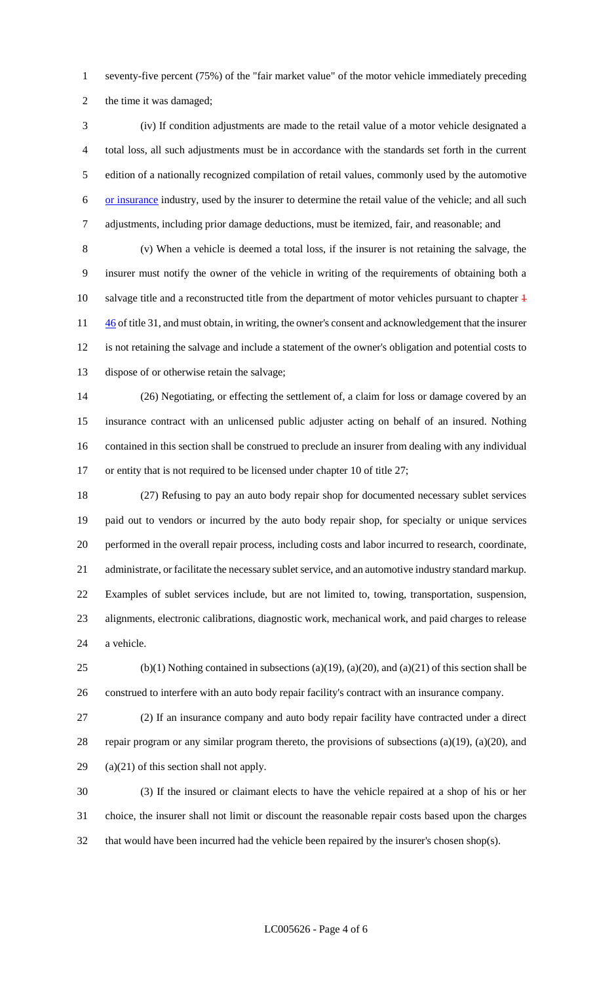seventy-five percent (75%) of the "fair market value" of the motor vehicle immediately preceding the time it was damaged;

 (iv) If condition adjustments are made to the retail value of a motor vehicle designated a total loss, all such adjustments must be in accordance with the standards set forth in the current edition of a nationally recognized compilation of retail values, commonly used by the automotive or insurance industry, used by the insurer to determine the retail value of the vehicle; and all such adjustments, including prior damage deductions, must be itemized, fair, and reasonable; and

 (v) When a vehicle is deemed a total loss, if the insurer is not retaining the salvage, the insurer must notify the owner of the vehicle in writing of the requirements of obtaining both a 10 salvage title and a reconstructed title from the department of motor vehicles pursuant to chapter  $\frac{46}{1}$  of title 31, and must obtain, in writing, the owner's consent and acknowledgement that the insurer is not retaining the salvage and include a statement of the owner's obligation and potential costs to dispose of or otherwise retain the salvage;

 (26) Negotiating, or effecting the settlement of, a claim for loss or damage covered by an insurance contract with an unlicensed public adjuster acting on behalf of an insured. Nothing contained in this section shall be construed to preclude an insurer from dealing with any individual or entity that is not required to be licensed under chapter 10 of title 27;

 (27) Refusing to pay an auto body repair shop for documented necessary sublet services paid out to vendors or incurred by the auto body repair shop, for specialty or unique services performed in the overall repair process, including costs and labor incurred to research, coordinate, administrate, or facilitate the necessary sublet service, and an automotive industry standard markup. Examples of sublet services include, but are not limited to, towing, transportation, suspension, alignments, electronic calibrations, diagnostic work, mechanical work, and paid charges to release a vehicle.

25 (b)(1) Nothing contained in subsections (a)(19), (a)(20), and (a)(21) of this section shall be construed to interfere with an auto body repair facility's contract with an insurance company.

 (2) If an insurance company and auto body repair facility have contracted under a direct repair program or any similar program thereto, the provisions of subsections (a)(19), (a)(20), and (a)(21) of this section shall not apply.

 (3) If the insured or claimant elects to have the vehicle repaired at a shop of his or her choice, the insurer shall not limit or discount the reasonable repair costs based upon the charges that would have been incurred had the vehicle been repaired by the insurer's chosen shop(s).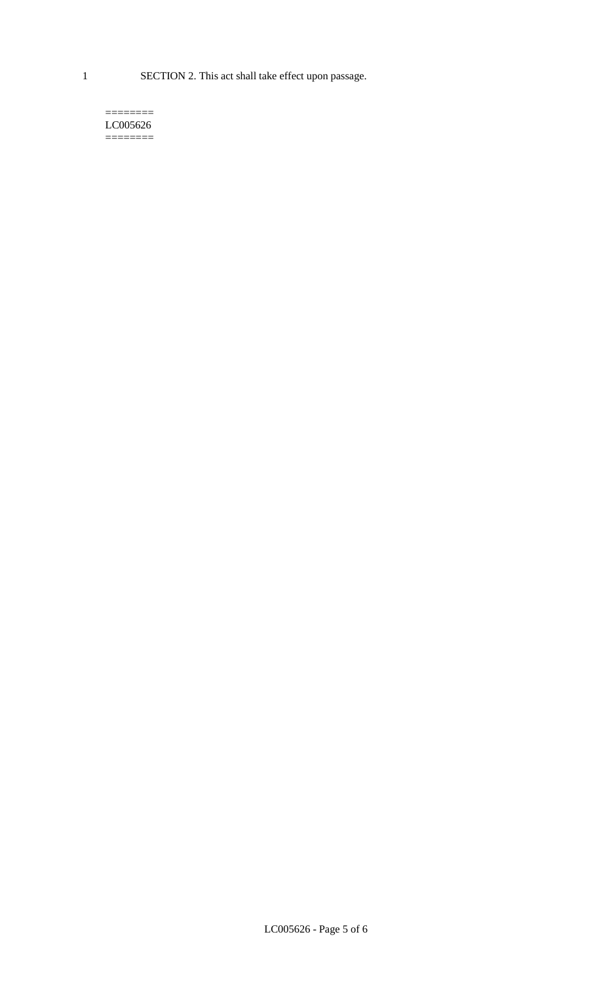1 SECTION 2. This act shall take effect upon passage.

#### $=$ LC005626 ========